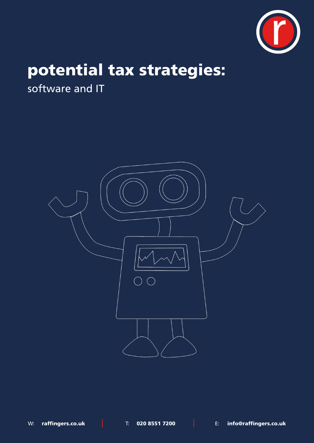

# potential tax strategies:

software and IT

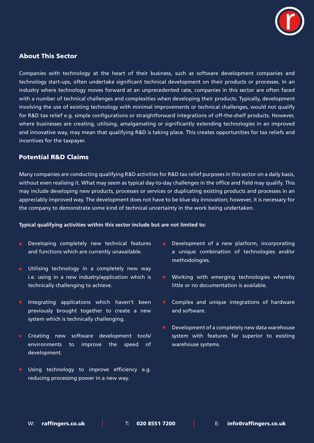

## About This Sector

Companies with technology at the heart of their business, such as software development companies and technology start-ups, often undertake significant technical development on their products or processes. In an industry where technology moves forward at an unprecedented rate, companies in this sector are often faced with a number of technical challenges and complexities when developing their products. Typically, development involving the use of existing technology with minimal improvements or technical challenges, would not qualify for R&D tax relief e.g. simple configurations or straightforward integrations of off-the-shelf products. However, where businesses are creating, utilising, amalgamating or significantly extending technologies in an improved and innovative way, may mean that qualifying R&D is taking place. This creates opportunities for tax reliefs and incentives for the taxpayer.

## Potential R&D Claims

Many companies are conducting qualifying R&D activities for R&D tax relief purposes in this sector on a daily basis, without even realising it. What may seem as typical day-to-day challenges in the office and field may qualify. This may include developing new products, processes or services or duplicating existing products and processes in an appreciably improved way. The development does not have to be blue sky innovation; however, it is necessary for the company to demonstrate some kind of technical uncertainty in the work being undertaken.

#### **Typical qualifying activities within this sector include but are not limited to:**

- Developing completely new technical features and functions which are currently unavailable.
- Utilising technology in a completely new way i.e. using in a new industry/application which is technically challenging to achieve.
- Integrating applications which haven't been previously brought together to create a new system which is technically challenging.
- **Creating new software development tools/** environments to improve the speed of development.
- Using technology to improve efficiency e.g. reducing processing power in a new way.
- Development of a new platform, incorporating a unique combination of technologies and/or methodologies.
- Working with emerging technologies whereby little or no documentation is available.
- Complex and unique integrations of hardware and software.
- Development of a completely new data warehouse system with features far superior to existing warehouse systems.